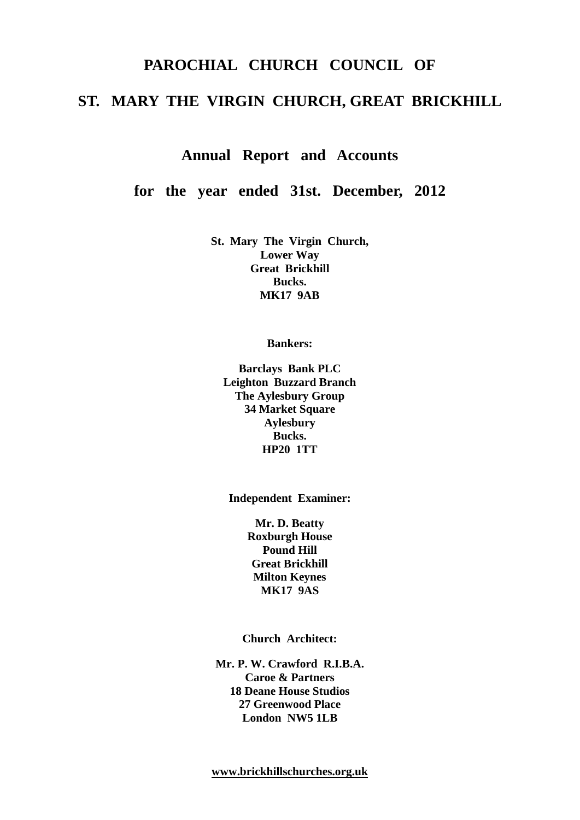# **PAROCHIAL CHURCH COUNCIL OF ST. MARY THE VIRGIN CHURCH, GREAT BRICKHILL**

# **Annual Report and Accounts**

**for the year ended 31st. December, 2012**

**St. Mary The Virgin Church, Lower Way Great Brickhill Bucks. MK17 9AB**

**Bankers:**

**Barclays Bank PLC Leighton Buzzard Branch The Aylesbury Group 34 Market Square Aylesbury Bucks. HP20 1TT**

**Independent Examiner:**

**Mr. D. Beatty Roxburgh House Pound Hill Great Brickhill Milton Keynes MK17 9AS**

**Church Architect:**

**Mr. P. W. Crawford R.I.B.A. Caroe & Partners 18 Deane House Studios 27 Greenwood Place London NW5 1LB**

**[www.brickhillschurches.org.uk](http://www.brickhillschurches.org.uk/)**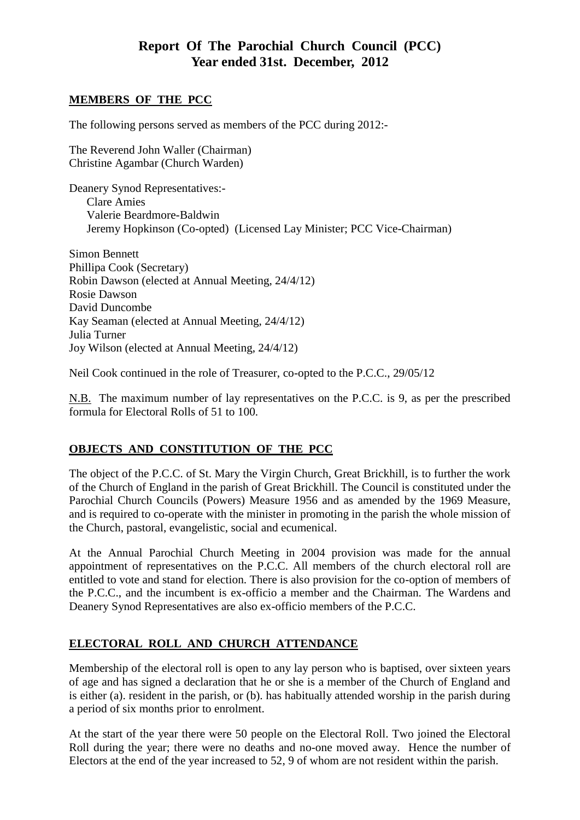# **Report Of The Parochial Church Council (PCC) Year ended 31st. December, 2012**

#### **MEMBERS OF THE PCC**

The following persons served as members of the PCC during 2012:-

The Reverend John Waller (Chairman) Christine Agambar (Church Warden)

Deanery Synod Representatives:- Clare Amies Valerie Beardmore-Baldwin Jeremy Hopkinson (Co-opted) (Licensed Lay Minister; PCC Vice-Chairman)

Simon Bennett Phillipa Cook (Secretary) Robin Dawson (elected at Annual Meeting, 24/4/12) Rosie Dawson David Duncombe Kay Seaman (elected at Annual Meeting, 24/4/12) Julia Turner Joy Wilson (elected at Annual Meeting, 24/4/12)

Neil Cook continued in the role of Treasurer, co-opted to the P.C.C., 29/05/12

N.B. The maximum number of lay representatives on the P.C.C. is 9, as per the prescribed formula for Electoral Rolls of 51 to 100.

# **OBJECTS AND CONSTITUTION OF THE PCC**

The object of the P.C.C. of St. Mary the Virgin Church, Great Brickhill, is to further the work of the Church of England in the parish of Great Brickhill. The Council is constituted under the Parochial Church Councils (Powers) Measure 1956 and as amended by the 1969 Measure, and is required to co-operate with the minister in promoting in the parish the whole mission of the Church, pastoral, evangelistic, social and ecumenical.

At the Annual Parochial Church Meeting in 2004 provision was made for the annual appointment of representatives on the P.C.C. All members of the church electoral roll are entitled to vote and stand for election. There is also provision for the co-option of members of the P.C.C., and the incumbent is ex-officio a member and the Chairman. The Wardens and Deanery Synod Representatives are also ex-officio members of the P.C.C.

# **ELECTORAL ROLL AND CHURCH ATTENDANCE**

Membership of the electoral roll is open to any lay person who is baptised, over sixteen years of age and has signed a declaration that he or she is a member of the Church of England and is either (a). resident in the parish, or (b). has habitually attended worship in the parish during a period of six months prior to enrolment.

At the start of the year there were 50 people on the Electoral Roll. Two joined the Electoral Roll during the year; there were no deaths and no-one moved away. Hence the number of Electors at the end of the year increased to 52, 9 of whom are not resident within the parish.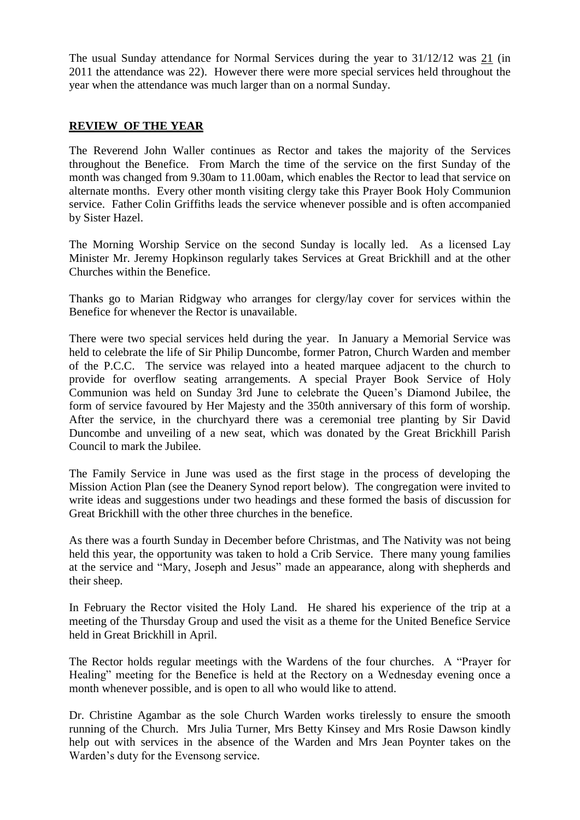The usual Sunday attendance for Normal Services during the year to 31/12/12 was 21 (in 2011 the attendance was 22). However there were more special services held throughout the year when the attendance was much larger than on a normal Sunday.

# **REVIEW OF THE YEAR**

The Reverend John Waller continues as Rector and takes the majority of the Services throughout the Benefice. From March the time of the service on the first Sunday of the month was changed from 9.30am to 11.00am, which enables the Rector to lead that service on alternate months. Every other month visiting clergy take this Prayer Book Holy Communion service. Father Colin Griffiths leads the service whenever possible and is often accompanied by Sister Hazel.

The Morning Worship Service on the second Sunday is locally led. As a licensed Lay Minister Mr. Jeremy Hopkinson regularly takes Services at Great Brickhill and at the other Churches within the Benefice.

Thanks go to Marian Ridgway who arranges for clergy/lay cover for services within the Benefice for whenever the Rector is unavailable.

There were two special services held during the year. In January a Memorial Service was held to celebrate the life of Sir Philip Duncombe, former Patron, Church Warden and member of the P.C.C. The service was relayed into a heated marquee adjacent to the church to provide for overflow seating arrangements. A special Prayer Book Service of Holy Communion was held on Sunday 3rd June to celebrate the Queen's Diamond Jubilee, the form of service favoured by Her Majesty and the 350th anniversary of this form of worship. After the service, in the churchyard there was a ceremonial tree planting by Sir David Duncombe and unveiling of a new seat, which was donated by the Great Brickhill Parish Council to mark the Jubilee.

The Family Service in June was used as the first stage in the process of developing the Mission Action Plan (see the Deanery Synod report below). The congregation were invited to write ideas and suggestions under two headings and these formed the basis of discussion for Great Brickhill with the other three churches in the benefice.

As there was a fourth Sunday in December before Christmas, and The Nativity was not being held this year, the opportunity was taken to hold a Crib Service. There many young families at the service and "Mary, Joseph and Jesus" made an appearance, along with shepherds and their sheep.

In February the Rector visited the Holy Land. He shared his experience of the trip at a meeting of the Thursday Group and used the visit as a theme for the United Benefice Service held in Great Brickhill in April.

The Rector holds regular meetings with the Wardens of the four churches. A "Prayer for Healing" meeting for the Benefice is held at the Rectory on a Wednesday evening once a month whenever possible, and is open to all who would like to attend.

Dr. Christine Agambar as the sole Church Warden works tirelessly to ensure the smooth running of the Church. Mrs Julia Turner, Mrs Betty Kinsey and Mrs Rosie Dawson kindly help out with services in the absence of the Warden and Mrs Jean Poynter takes on the Warden's duty for the Evensong service.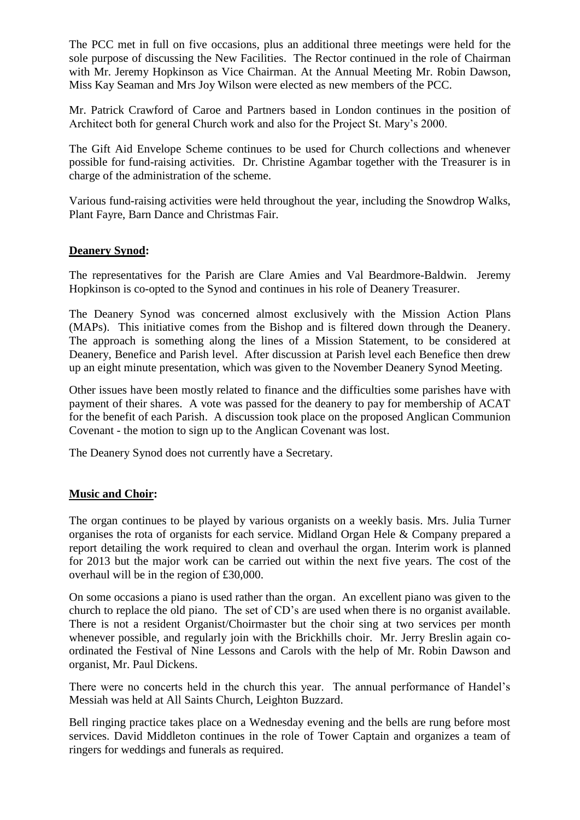The PCC met in full on five occasions, plus an additional three meetings were held for the sole purpose of discussing the New Facilities. The Rector continued in the role of Chairman with Mr. Jeremy Hopkinson as Vice Chairman. At the Annual Meeting Mr. Robin Dawson, Miss Kay Seaman and Mrs Joy Wilson were elected as new members of the PCC.

Mr. Patrick Crawford of Caroe and Partners based in London continues in the position of Architect both for general Church work and also for the Project St. Mary's 2000.

The Gift Aid Envelope Scheme continues to be used for Church collections and whenever possible for fund-raising activities. Dr. Christine Agambar together with the Treasurer is in charge of the administration of the scheme.

Various fund-raising activities were held throughout the year, including the Snowdrop Walks, Plant Fayre, Barn Dance and Christmas Fair.

#### **Deanery Synod:**

The representatives for the Parish are Clare Amies and Val Beardmore-Baldwin. Jeremy Hopkinson is co-opted to the Synod and continues in his role of Deanery Treasurer.

The Deanery Synod was concerned almost exclusively with the Mission Action Plans (MAPs). This initiative comes from the Bishop and is filtered down through the Deanery. The approach is something along the lines of a Mission Statement, to be considered at Deanery, Benefice and Parish level. After discussion at Parish level each Benefice then drew up an eight minute presentation, which was given to the November Deanery Synod Meeting.

Other issues have been mostly related to finance and the difficulties some parishes have with payment of their shares. A vote was passed for the deanery to pay for membership of ACAT for the benefit of each Parish. A discussion took place on the proposed Anglican Communion Covenant - the motion to sign up to the Anglican Covenant was lost.

The Deanery Synod does not currently have a Secretary.

#### **Music and Choir:**

The organ continues to be played by various organists on a weekly basis. Mrs. Julia Turner organises the rota of organists for each service. Midland Organ Hele & Company prepared a report detailing the work required to clean and overhaul the organ. Interim work is planned for 2013 but the major work can be carried out within the next five years. The cost of the overhaul will be in the region of £30,000.

On some occasions a piano is used rather than the organ. An excellent piano was given to the church to replace the old piano. The set of CD's are used when there is no organist available. There is not a resident Organist/Choirmaster but the choir sing at two services per month whenever possible, and regularly join with the Brickhills choir. Mr. Jerry Breslin again coordinated the Festival of Nine Lessons and Carols with the help of Mr. Robin Dawson and organist, Mr. Paul Dickens.

There were no concerts held in the church this year. The annual performance of Handel's Messiah was held at All Saints Church, Leighton Buzzard.

Bell ringing practice takes place on a Wednesday evening and the bells are rung before most services. David Middleton continues in the role of Tower Captain and organizes a team of ringers for weddings and funerals as required.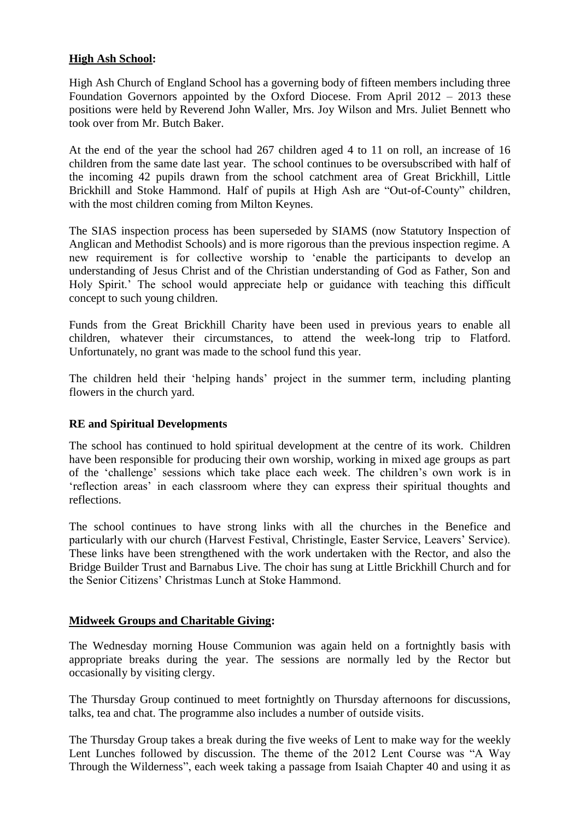# **High Ash School:**

High Ash Church of England School has a governing body of fifteen members including three Foundation Governors appointed by the Oxford Diocese. From April 2012 – 2013 these positions were held by Reverend John Waller, Mrs. Joy Wilson and Mrs. Juliet Bennett who took over from Mr. Butch Baker.

At the end of the year the school had 267 children aged 4 to 11 on roll, an increase of 16 children from the same date last year. The school continues to be oversubscribed with half of the incoming 42 pupils drawn from the school catchment area of Great Brickhill, Little Brickhill and Stoke Hammond. Half of pupils at High Ash are "Out-of-County" children, with the most children coming from Milton Keynes.

The SIAS inspection process has been superseded by SIAMS (now Statutory Inspection of Anglican and Methodist Schools) and is more rigorous than the previous inspection regime. A new requirement is for collective worship to 'enable the participants to develop an understanding of Jesus Christ and of the Christian understanding of God as Father, Son and Holy Spirit.' The school would appreciate help or guidance with teaching this difficult concept to such young children.

Funds from the Great Brickhill Charity have been used in previous years to enable all children, whatever their circumstances, to attend the week-long trip to Flatford. Unfortunately, no grant was made to the school fund this year.

The children held their 'helping hands' project in the summer term, including planting flowers in the church yard.

# **RE and Spiritual Developments**

The school has continued to hold spiritual development at the centre of its work. Children have been responsible for producing their own worship, working in mixed age groups as part of the 'challenge' sessions which take place each week. The children's own work is in 'reflection areas' in each classroom where they can express their spiritual thoughts and reflections.

The school continues to have strong links with all the churches in the Benefice and particularly with our church (Harvest Festival, Christingle, Easter Service, Leavers' Service). These links have been strengthened with the work undertaken with the Rector, and also the Bridge Builder Trust and Barnabus Live. The choir has sung at Little Brickhill Church and for the Senior Citizens' Christmas Lunch at Stoke Hammond.

#### **Midweek Groups and Charitable Giving:**

The Wednesday morning House Communion was again held on a fortnightly basis with appropriate breaks during the year. The sessions are normally led by the Rector but occasionally by visiting clergy.

The Thursday Group continued to meet fortnightly on Thursday afternoons for discussions, talks, tea and chat. The programme also includes a number of outside visits.

The Thursday Group takes a break during the five weeks of Lent to make way for the weekly Lent Lunches followed by discussion. The theme of the 2012 Lent Course was "A Way Through the Wilderness", each week taking a passage from Isaiah Chapter 40 and using it as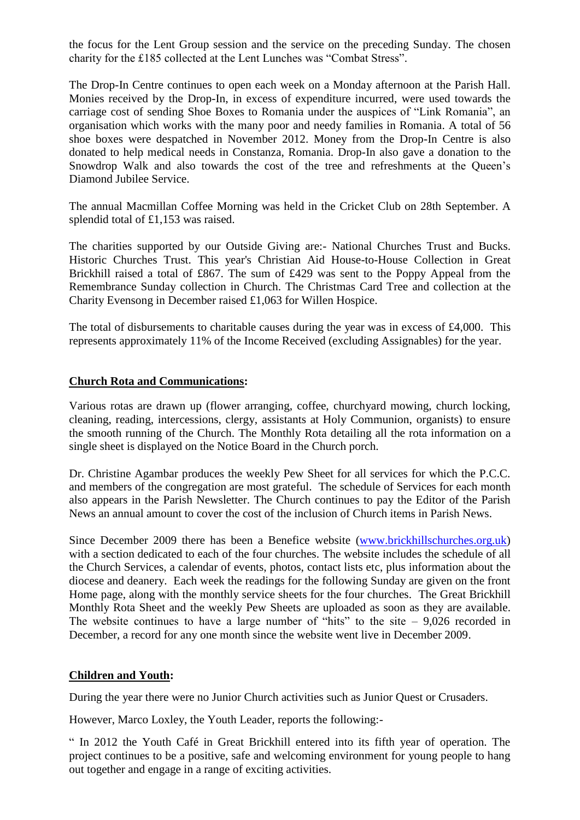the focus for the Lent Group session and the service on the preceding Sunday. The chosen charity for the £185 collected at the Lent Lunches was "Combat Stress".

The Drop-In Centre continues to open each week on a Monday afternoon at the Parish Hall. Monies received by the Drop-In, in excess of expenditure incurred, were used towards the carriage cost of sending Shoe Boxes to Romania under the auspices of "Link Romania", an organisation which works with the many poor and needy families in Romania. A total of 56 shoe boxes were despatched in November 2012. Money from the Drop-In Centre is also donated to help medical needs in Constanza, Romania. Drop-In also gave a donation to the Snowdrop Walk and also towards the cost of the tree and refreshments at the Queen's Diamond Jubilee Service.

The annual Macmillan Coffee Morning was held in the Cricket Club on 28th September. A splendid total of £1,153 was raised.

The charities supported by our Outside Giving are:- National Churches Trust and Bucks. Historic Churches Trust. This year's Christian Aid House-to-House Collection in Great Brickhill raised a total of £867. The sum of £429 was sent to the Poppy Appeal from the Remembrance Sunday collection in Church. The Christmas Card Tree and collection at the Charity Evensong in December raised £1,063 for Willen Hospice.

The total of disbursements to charitable causes during the year was in excess of £4,000. This represents approximately 11% of the Income Received (excluding Assignables) for the year.

#### **Church Rota and Communications:**

Various rotas are drawn up (flower arranging, coffee, churchyard mowing, church locking, cleaning, reading, intercessions, clergy, assistants at Holy Communion, organists) to ensure the smooth running of the Church. The Monthly Rota detailing all the rota information on a single sheet is displayed on the Notice Board in the Church porch.

Dr. Christine Agambar produces the weekly Pew Sheet for all services for which the P.C.C. and members of the congregation are most grateful. The schedule of Services for each month also appears in the Parish Newsletter. The Church continues to pay the Editor of the Parish News an annual amount to cover the cost of the inclusion of Church items in Parish News.

Since December 2009 there has been a Benefice website [\(www.brickhillschurches.org.uk\)](http://www.brickhillschurches.org.uk/) with a section dedicated to each of the four churches. The website includes the schedule of all the Church Services, a calendar of events, photos, contact lists etc, plus information about the diocese and deanery. Each week the readings for the following Sunday are given on the front Home page, along with the monthly service sheets for the four churches. The Great Brickhill Monthly Rota Sheet and the weekly Pew Sheets are uploaded as soon as they are available. The website continues to have a large number of "hits" to the site  $-9,026$  recorded in December, a record for any one month since the website went live in December 2009.

#### **Children and Youth:**

During the year there were no Junior Church activities such as Junior Quest or Crusaders.

However, Marco Loxley, the Youth Leader, reports the following:-

" In 2012 the Youth Café in Great Brickhill entered into its fifth year of operation. The project continues to be a positive, safe and welcoming environment for young people to hang out together and engage in a range of exciting activities.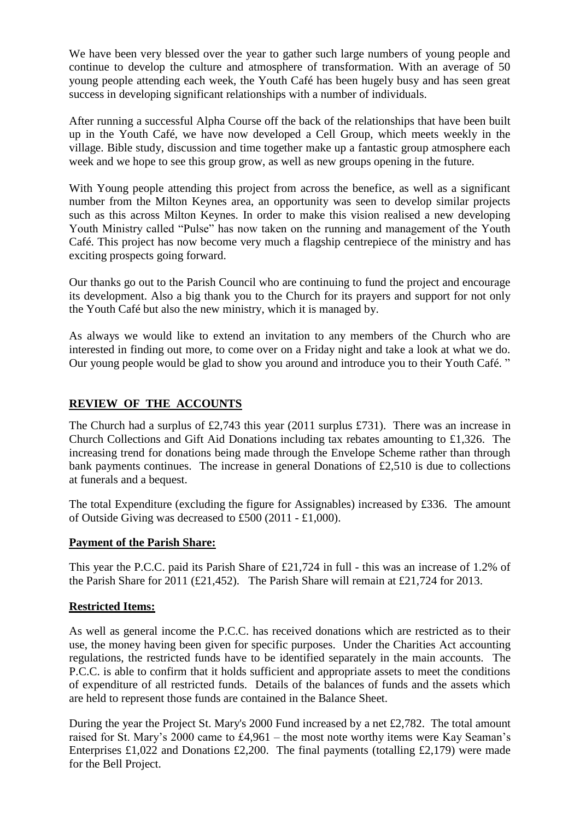We have been very blessed over the year to gather such large numbers of young people and continue to develop the culture and atmosphere of transformation. With an average of 50 young people attending each week, the Youth Café has been hugely busy and has seen great success in developing significant relationships with a number of individuals.

After running a successful Alpha Course off the back of the relationships that have been built up in the Youth Café, we have now developed a Cell Group, which meets weekly in the village. Bible study, discussion and time together make up a fantastic group atmosphere each week and we hope to see this group grow, as well as new groups opening in the future.

With Young people attending this project from across the benefice, as well as a significant number from the Milton Keynes area, an opportunity was seen to develop similar projects such as this across Milton Keynes. In order to make this vision realised a new developing Youth Ministry called "Pulse" has now taken on the running and management of the Youth Café. This project has now become very much a flagship centrepiece of the ministry and has exciting prospects going forward.

Our thanks go out to the Parish Council who are continuing to fund the project and encourage its development. Also a big thank you to the Church for its prayers and support for not only the Youth Café but also the new ministry, which it is managed by.

As always we would like to extend an invitation to any members of the Church who are interested in finding out more, to come over on a Friday night and take a look at what we do. Our young people would be glad to show you around and introduce you to their Youth Café. "

# **REVIEW OF THE ACCOUNTS**

The Church had a surplus of £2,743 this year (2011 surplus £731). There was an increase in Church Collections and Gift Aid Donations including tax rebates amounting to £1,326. The increasing trend for donations being made through the Envelope Scheme rather than through bank payments continues. The increase in general Donations of £2,510 is due to collections at funerals and a bequest.

The total Expenditure (excluding the figure for Assignables) increased by £336. The amount of Outside Giving was decreased to £500 (2011 - £1,000).

# **Payment of the Parish Share:**

This year the P.C.C. paid its Parish Share of £21,724 in full - this was an increase of 1.2% of the Parish Share for 2011 (£21,452). The Parish Share will remain at £21,724 for 2013.

# **Restricted Items:**

As well as general income the P.C.C. has received donations which are restricted as to their use, the money having been given for specific purposes. Under the Charities Act accounting regulations, the restricted funds have to be identified separately in the main accounts. The P.C.C. is able to confirm that it holds sufficient and appropriate assets to meet the conditions of expenditure of all restricted funds. Details of the balances of funds and the assets which are held to represent those funds are contained in the Balance Sheet.

During the year the Project St. Mary's 2000 Fund increased by a net £2,782. The total amount raised for St. Mary's 2000 came to £4,961 – the most note worthy items were Kay Seaman's Enterprises £1,022 and Donations £2,200. The final payments (totalling £2,179) were made for the Bell Project.